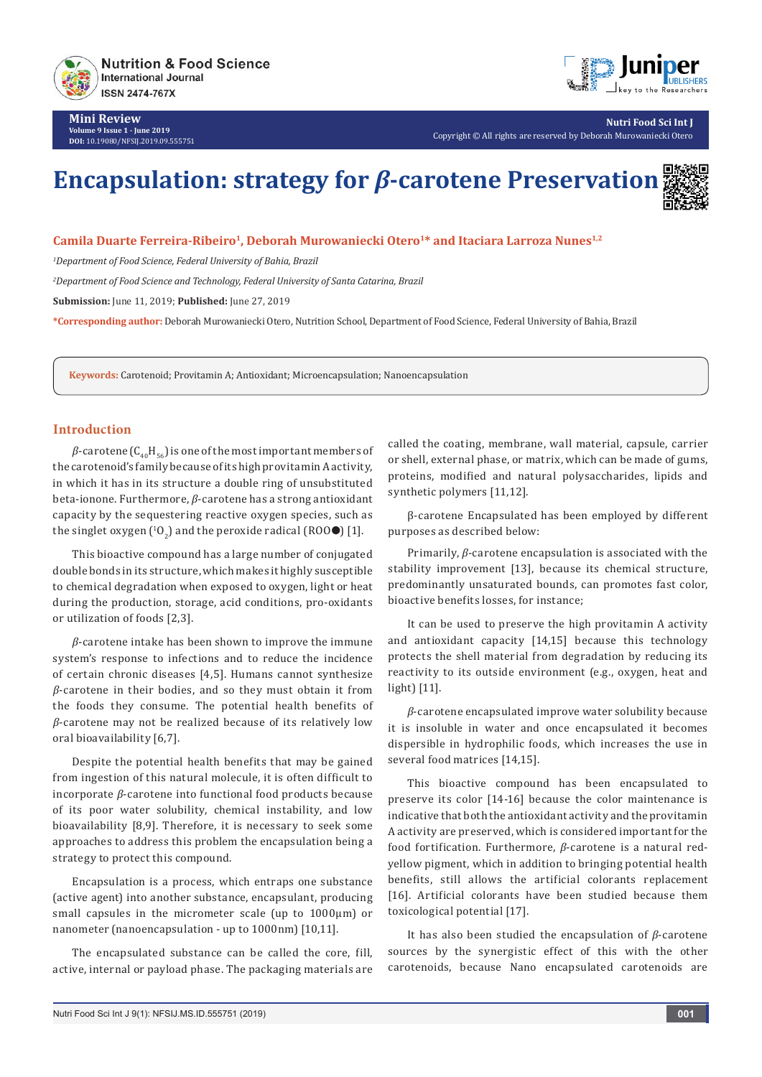

**Mini Review Volume 9 Issue 1 - June 2019 DOI:** [10.19080/NFSIJ.2019.09.555751](http://dx.doi.org/10.19080/NFSIJ.2019.09.555751)



**Nutri Food Sci Int J** Copyright © All rights are reserved by Deborah Murowaniecki Otero

# **Encapsulation: strategy for** *β***-carotene Preservation**

**Camila Duarte Ferreira-Ribeiro1, Deborah Murowaniecki Otero1\* and Itaciara Larroza Nunes1,2**

*1 Department of Food Science, Federal University of Bahia, Brazil*

*2 Department of Food Science and Technology, Federal University of Santa Catarina, Brazil*

**Submission:** June 11, 2019; **Published:** June 27, 2019

**\*Corresponding author:** Deborah Murowaniecki Otero, Nutrition School, Department of Food Science, Federal University of Bahia, Brazil

**Keywords:** Carotenoid; Provitamin A; Antioxidant; Microencapsulation; Nanoencapsulation

### **Introduction**

 $β$ -carotene  $(C_{40}H_{56})$  is one of the most important members of the carotenoid's family because of its high provitamin A activity, in which it has in its structure a double ring of unsubstituted beta-ionone. Furthermore, *β*-carotene has a strong antioxidant capacity by the sequestering reactive oxygen species, such as the singlet oxygen ( ${}^{10}O_{2}$ ) and the peroxide radical (ROO $\bullet$ ) [1].

This bioactive compound has a large number of conjugated double bonds in its structure, which makes it highly susceptible to chemical degradation when exposed to oxygen, light or heat during the production, storage, acid conditions, pro-oxidants or utilization of foods [2,3].

*β*-carotene intake has been shown to improve the immune system's response to infections and to reduce the incidence of certain chronic diseases [4,5]. Humans cannot synthesize *β*-carotene in their bodies, and so they must obtain it from the foods they consume. The potential health benefits of *β*-carotene may not be realized because of its relatively low oral bioavailability [6,7].

Despite the potential health benefits that may be gained from ingestion of this natural molecule, it is often difficult to incorporate *β*-carotene into functional food products because of its poor water solubility, chemical instability, and low bioavailability [8,9]. Therefore, it is necessary to seek some approaches to address this problem the encapsulation being a strategy to protect this compound.

Encapsulation is a process, which entraps one substance (active agent) into another substance, encapsulant, producing small capsules in the micrometer scale (up to 1000µm) or nanometer (nanoencapsulation - up to 1000nm) [10,11].

The encapsulated substance can be called the core, fill, active, internal or payload phase. The packaging materials are

called the coating, membrane, wall material, capsule, carrier or shell, external phase, or matrix, which can be made of gums, proteins, modified and natural polysaccharides, lipids and synthetic polymers [11,12].

β-carotene Encapsulated has been employed by different purposes as described below:

Primarily, *β*-carotene encapsulation is associated with the stability improvement [13], because its chemical structure, predominantly unsaturated bounds, can promotes fast color, bioactive benefits losses, for instance;

It can be used to preserve the high provitamin A activity and antioxidant capacity [14,15] because this technology protects the shell material from degradation by reducing its reactivity to its outside environment (e.g., oxygen, heat and light) [11].

*β*-carotene encapsulated improve water solubility because it is insoluble in water and once encapsulated it becomes dispersible in hydrophilic foods, which increases the use in several food matrices [14,15].

This bioactive compound has been encapsulated to preserve its color [14-16] because the color maintenance is indicative that both the antioxidant activity and the provitamin A activity are preserved, which is considered important for the food fortification. Furthermore, *β*-carotene is a natural redyellow pigment, which in addition to bringing potential health benefits, still allows the artificial colorants replacement [16]. Artificial colorants have been studied because them toxicological potential [17].

It has also been studied the encapsulation of *β*-carotene sources by the synergistic effect of this with the other carotenoids, because Nano encapsulated carotenoids are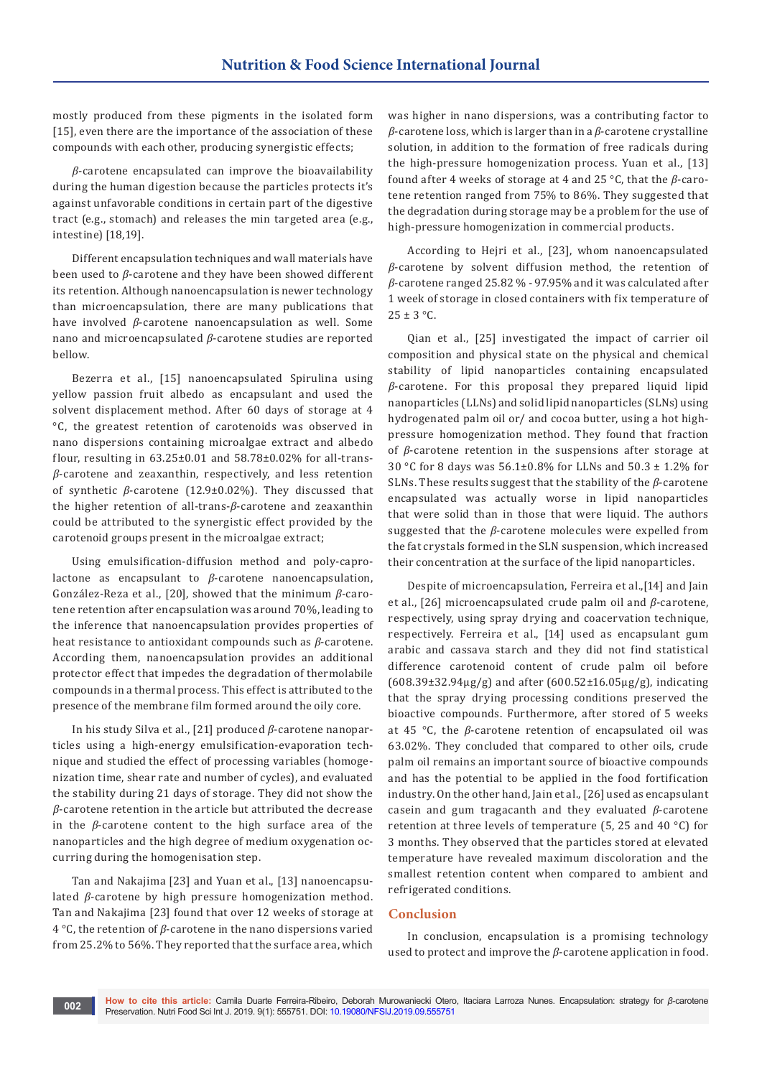mostly produced from these pigments in the isolated form [15], even there are the importance of the association of these compounds with each other, producing synergistic effects;

*β*-carotene encapsulated can improve the bioavailability during the human digestion because the particles protects it's against unfavorable conditions in certain part of the digestive tract (e.g., stomach) and releases the min targeted area (e.g., intestine) [18,19].

Different encapsulation techniques and wall materials have been used to *β*-carotene and they have been showed different its retention. Although nanoencapsulation is newer technology than microencapsulation, there are many publications that have involved *β*-carotene nanoencapsulation as well. Some nano and microencapsulated *β*-carotene studies are reported bellow.

Bezerra et al., [15] nanoencapsulated Spirulina using yellow passion fruit albedo as encapsulant and used the solvent displacement method. After 60 days of storage at 4 °C, the greatest retention of carotenoids was observed in nano dispersions containing microalgae extract and albedo flour, resulting in  $63.25\pm0.01$  and  $58.78\pm0.02\%$  for all-trans*β*-carotene and zeaxanthin, respectively, and less retention of synthetic *β*-carotene (12.9±0.02%). They discussed that the higher retention of all-trans-*β*-carotene and zeaxanthin could be attributed to the synergistic effect provided by the carotenoid groups present in the microalgae extract;

Using emulsification-diffusion method and poly-caprolactone as encapsulant to *β*-carotene nanoencapsulation, González-Reza et al., [20], showed that the minimum *β*-carotene retention after encapsulation was around 70%, leading to the inference that nanoencapsulation provides properties of heat resistance to antioxidant compounds such as *β*-carotene. According them, nanoencapsulation provides an additional protector effect that impedes the degradation of thermolabile compounds in a thermal process. This effect is attributed to the presence of the membrane film formed around the oily core.

In his study Silva et al., [21] produced *β*-carotene nanoparticles using a high-energy emulsification-evaporation technique and studied the effect of processing variables (homogenization time, shear rate and number of cycles), and evaluated the stability during 21 days of storage. They did not show the *β*-carotene retention in the article but attributed the decrease in the *β*-carotene content to the high surface area of the nanoparticles and the high degree of medium oxygenation occurring during the homogenisation step.

Tan and Nakajima [23] and Yuan et al., [13] nanoencapsulated *β*-carotene by high pressure homogenization method. Tan and Nakajima [23] found that over 12 weeks of storage at 4 °C, the retention of *β*-carotene in the nano dispersions varied from 25.2% to 56%. They reported that the surface area, which was higher in nano dispersions, was a contributing factor to *β*-carotene loss, which is larger than in a *β*-carotene crystalline solution, in addition to the formation of free radicals during the high-pressure homogenization process. Yuan et al., [13] found after 4 weeks of storage at 4 and 25 °C, that the *β*-carotene retention ranged from 75% to 86%. They suggested that the degradation during storage may be a problem for the use of high-pressure homogenization in commercial products.

According to Hejri et al., [23], whom nanoencapsulated *β*-carotene by solvent diffusion method, the retention of *β*-carotene ranged 25.82 % - 97.95% and it was calculated after 1 week of storage in closed containers with fix temperature of  $25 \pm 3$  °C.

Qian et al., [25] investigated the impact of carrier oil composition and physical state on the physical and chemical stability of lipid nanoparticles containing encapsulated *β*-carotene. For this proposal they prepared liquid lipid nanoparticles (LLNs) and solid lipid nanoparticles (SLNs) using hydrogenated palm oil or/ and cocoa butter, using a hot highpressure homogenization method. They found that fraction of *β*-carotene retention in the suspensions after storage at 30 °C for 8 days was 56.1±0.8% for LLNs and 50.3 ± 1.2% for SLNs. These results suggest that the stability of the *β*-carotene encapsulated was actually worse in lipid nanoparticles that were solid than in those that were liquid. The authors suggested that the *β*-carotene molecules were expelled from the fat crystals formed in the SLN suspension, which increased their concentration at the surface of the lipid nanoparticles.

Despite of microencapsulation, Ferreira et al.,[14] and Jain et al., [26] microencapsulated crude palm oil and *β*-carotene, respectively, using spray drying and coacervation technique, respectively. Ferreira et al., [14] used as encapsulant gum arabic and cassava starch and they did not find statistical difference carotenoid content of crude palm oil before (608.39±32.94μg/g) and after (600.52±16.05μg/g), indicating that the spray drying processing conditions preserved the bioactive compounds. Furthermore, after stored of 5 weeks at 45 °C, the *β*-carotene retention of encapsulated oil was 63.02%. They concluded that compared to other oils, crude palm oil remains an important source of bioactive compounds and has the potential to be applied in the food fortification industry. On the other hand, Jain et al., [26] used as encapsulant casein and gum tragacanth and they evaluated *β*-carotene retention at three levels of temperature (5, 25 and 40 °C) for 3 months. They observed that the particles stored at elevated temperature have revealed maximum discoloration and the smallest retention content when compared to ambient and refrigerated conditions.

### **Conclusion**

In conclusion, encapsulation is a promising technology used to protect and improve the *β*-carotene application in food.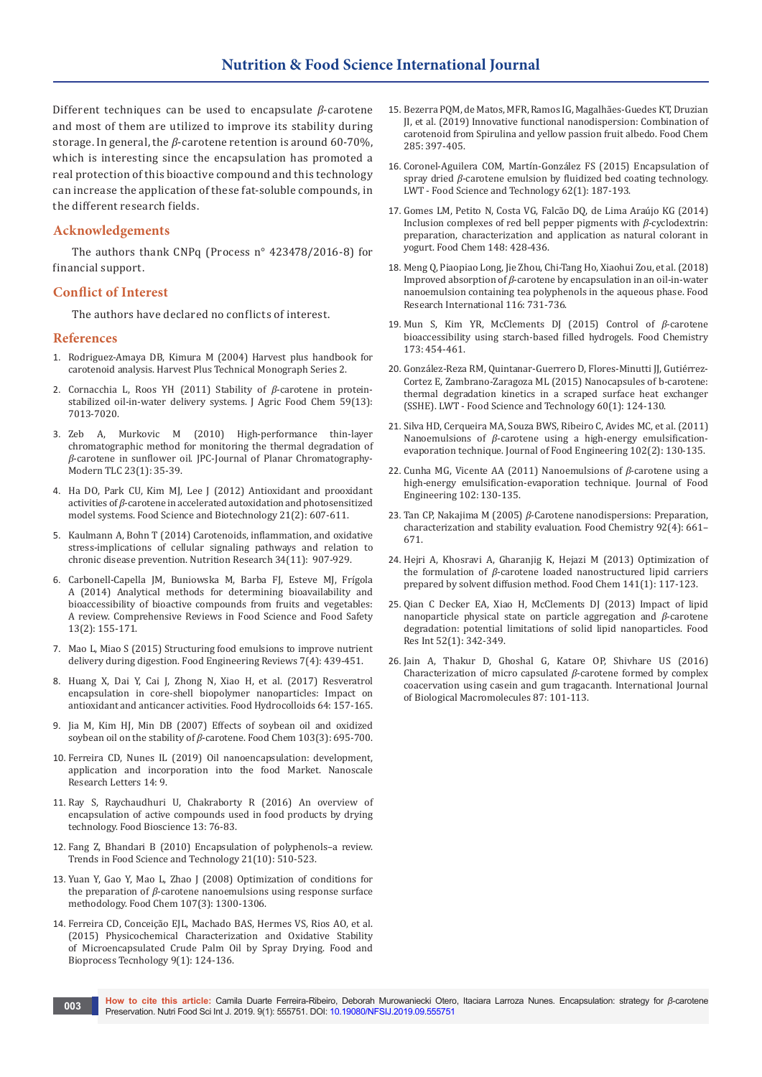Different techniques can be used to encapsulate *β*-carotene and most of them are utilized to improve its stability during storage. In general, the *β*-carotene retention is around 60-70%, which is interesting since the encapsulation has promoted a real protection of this bioactive compound and this technology can increase the application of these fat-soluble compounds, in the different research fields.

## **Acknowledgements**

The authors thank CNPq (Process n° 423478/2016-8) for financial support.

## **Conflict of Interest**

The authors have declared no conflicts of interest.

#### **References**

- 1. Rodriguez-Amaya DB, Kimura M (2004) Harvest plus handbook for carotenoid analysis. Harvest Plus Technical Monograph Series 2.
- 2. [Cornacchia L, Roos YH \(2011\) Stability of](https://www.ncbi.nlm.nih.gov/pubmed/21591770) *β*-carotene in protein[stabilized oil-in-water delivery systems. J Agric Food Chem 59\(13\):](https://www.ncbi.nlm.nih.gov/pubmed/21591770)  [7013-7020.](https://www.ncbi.nlm.nih.gov/pubmed/21591770)
- 3. [Zeb A, Murkovic M \(2010\) High-performance thin-layer](https://akademiai.com/doi/abs/10.1556/JPC.23.2010.1.6)  [chromatographic method for monitoring the thermal degradation of](https://akademiai.com/doi/abs/10.1556/JPC.23.2010.1.6)  *β*[-carotene in sunflower oil. JPC-Journal of Planar Chromatography-](https://akademiai.com/doi/abs/10.1556/JPC.23.2010.1.6)[Modern TLC 23\(1\): 35-39.](https://akademiai.com/doi/abs/10.1556/JPC.23.2010.1.6)
- 4. [Ha DO, Park CU, Kim MJ, Lee J \(2012\) Antioxidant and prooxidant](https://link.springer.com/article/10.1007/s10068-012-0078-1)  activities of *β*[-carotene in accelerated autoxidation and photosensitized](https://link.springer.com/article/10.1007/s10068-012-0078-1)  [model systems. Food Science and Biotechnology 21\(2\): 607-611.](https://link.springer.com/article/10.1007/s10068-012-0078-1)
- 5. [Kaulmann A, Bohn T \(2014\) Carotenoids, inflammation, and oxidative](https://www.ncbi.nlm.nih.gov/pubmed/25134454)  [stress-implications of cellular signaling pathways and relation to](https://www.ncbi.nlm.nih.gov/pubmed/25134454)  [chronic disease prevention. Nutrition Research 34\(11\): 907-929.](https://www.ncbi.nlm.nih.gov/pubmed/25134454)
- 6. [Carbonell-Capella JM, Buniowska M, Barba FJ, Esteve MJ, Frígola](https://onlinelibrary.wiley.com/doi/full/10.1111/1541-4337.12049)  [A \(2014\) Analytical methods for determining bioavailability and](https://onlinelibrary.wiley.com/doi/full/10.1111/1541-4337.12049)  [bioaccessibility of bioactive compounds from fruits and vegetables:](https://onlinelibrary.wiley.com/doi/full/10.1111/1541-4337.12049)  [A review. Comprehensive Reviews in Food Science and Food Safety](https://onlinelibrary.wiley.com/doi/full/10.1111/1541-4337.12049)  [13\(2\): 155-171.](https://onlinelibrary.wiley.com/doi/full/10.1111/1541-4337.12049)
- 7. [Mao L, Miao S \(2015\) Structuring food emulsions to improve nutrient](https://link.springer.com/article/10.1007/s12393-015-9108-0)  [delivery during digestion. Food Engineering Reviews 7\(4\): 439-451.](https://link.springer.com/article/10.1007/s12393-015-9108-0)
- 8. [Huang X, Dai Y, Cai J, Zhong N, Xiao H, et al. \(2017\) Resveratrol](https://www.sciencedirect.com/science/article/pii/S0268005X16306178)  [encapsulation in core-shell biopolymer nanoparticles: Impact on](https://www.sciencedirect.com/science/article/pii/S0268005X16306178)  [antioxidant and anticancer activities. Food Hydrocolloids 64: 157-165.](https://www.sciencedirect.com/science/article/pii/S0268005X16306178)
- 9. [Jia M, Kim HJ, Min DB \(2007\) Effects of soybean oil and oxidized](https://www.sciencedirect.com/science/article/pii/S0308814606005012)  soybean oil on the stability of *β*[-carotene. Food Chem 103\(3\): 695-700.](https://www.sciencedirect.com/science/article/pii/S0308814606005012)
- 10. [Ferreira CD, Nunes IL \(2019\) Oil nanoencapsulation: development,](https://link.springer.com/article/10.1186/s11671-018-2829-2)  [application and incorporation into the food Market. Nanoscale](https://link.springer.com/article/10.1186/s11671-018-2829-2)  [Research Letters 14: 9.](https://link.springer.com/article/10.1186/s11671-018-2829-2)
- 11. [Ray S, Raychaudhuri U, Chakraborty R \(2016\) An overview of](https://www.sciencedirect.com/science/article/abs/pii/S221242921530033X)  [encapsulation of active compounds used in food products by drying](https://www.sciencedirect.com/science/article/abs/pii/S221242921530033X)  [technology. Food Bioscience 13: 76-83.](https://www.sciencedirect.com/science/article/abs/pii/S221242921530033X)
- 12. [Fang Z, Bhandari B \(2010\) Encapsulation of polyphenols–a review.](https://www.sciencedirect.com/science/article/abs/pii/S0924224410001925)  [Trends in Food Science and Technology 21\(10\): 510-523.](https://www.sciencedirect.com/science/article/abs/pii/S0924224410001925)
- 13. [Yuan Y, Gao Y, Mao L, Zhao J \(2008\) Optimization of conditions for](https://www.sciencedirect.com/science/article/pii/S0308814607009326)  the preparation of *β*[-carotene nanoemulsions using response surface](https://www.sciencedirect.com/science/article/pii/S0308814607009326)  [methodology. Food Chem 107\(3\): 1300-1306.](https://www.sciencedirect.com/science/article/pii/S0308814607009326)
- 14. [Ferreira CD, Conceição EJL, Machado BAS, Hermes VS, Rios AO, et al.](https://link.springer.com/article/10.1007/s11947-015-1603-z)  [\(2015\) Physicochemical Characterization and Oxidative Stability](https://link.springer.com/article/10.1007/s11947-015-1603-z)  [of Microencapsulated Crude Palm Oil by Spray Drying. Food and](https://link.springer.com/article/10.1007/s11947-015-1603-z)  [Bioprocess Tecnhology 9\(1\): 124-136.](https://link.springer.com/article/10.1007/s11947-015-1603-z)
- 15. [Bezerra PQM, de Matos, MFR, Ramos IG, Magalhães-Guedes KT, Druzian](https://www.ncbi.nlm.nih.gov/pubmed/30797363)  [JI, et al. \(2019\) Innovative functional nanodispersion: Combination of](https://www.ncbi.nlm.nih.gov/pubmed/30797363)  [carotenoid from Spirulina and yellow passion fruit albedo. Food Chem](https://www.ncbi.nlm.nih.gov/pubmed/30797363)  [285: 397-405.](https://www.ncbi.nlm.nih.gov/pubmed/30797363)
- 16. [Coronel-Aguilera COM, Martín-González FS \(2015\) Encapsulation of](https://www.sciencedirect.com/science/article/pii/S0023643814008251)  spray dried *β*[-carotene emulsion by fluidized bed coating technology.](https://www.sciencedirect.com/science/article/pii/S0023643814008251)  [LWT - Food Science and Technology 62\(1\): 187-193.](https://www.sciencedirect.com/science/article/pii/S0023643814008251)
- 17. [Gomes LM, Petito N, Costa VG, Falcão DQ, de Lima Araújo KG \(2014\)](https://www.ncbi.nlm.nih.gov/pubmed/24262579)  [Inclusion complexes of red bell pepper pigments with](https://www.ncbi.nlm.nih.gov/pubmed/24262579) *β*-cyclodextrin: [preparation, characterization and application as natural colorant in](https://www.ncbi.nlm.nih.gov/pubmed/24262579)  [yogurt. Food Chem 148: 428-436.](https://www.ncbi.nlm.nih.gov/pubmed/24262579)
- 18. [Meng Q, Piaopiao Long, Jie Zhou, Chi-Tang Ho, Xiaohui Zou, et al. \(2018\)](https://www.sciencedirect.com/science/article/pii/S0963996918307269?via%3Dihub)  Improved absorption of *β*[-carotene by encapsulation in an oil-in-water](https://www.sciencedirect.com/science/article/pii/S0963996918307269?via%3Dihub)  [nanoemulsion containing tea polyphenols in the aqueous phase. Food](https://www.sciencedirect.com/science/article/pii/S0963996918307269?via%3Dihub)  [Research International 116: 731-736.](https://www.sciencedirect.com/science/article/pii/S0963996918307269?via%3Dihub)
- 19. [Mun S, Kim YR, McClements DJ \(2015\) Control of](https://www.ncbi.nlm.nih.gov/pubmed/25466045) *β*-carotene [bioaccessibility using starch-based filled hydrogels. Food Chemistry](https://www.ncbi.nlm.nih.gov/pubmed/25466045)  [173: 454-461.](https://www.ncbi.nlm.nih.gov/pubmed/25466045)
- 20. [González-Reza RM, Quintanar-Guerrero D, Flores-Minutti JJ, Gutiérrez-](https://www.sciencedirect.com/science/article/pii/S0023643814005751)[Cortez E, Zambrano-Zaragoza ML \(2015\) Nanocapsules of b-carotene:](https://www.sciencedirect.com/science/article/pii/S0023643814005751)  [thermal degradation kinetics in a scraped surface heat exchanger](https://www.sciencedirect.com/science/article/pii/S0023643814005751)  [\(SSHE\). LWT - Food Science and Technology 60\(1\): 124-130.](https://www.sciencedirect.com/science/article/pii/S0023643814005751)
- 21. [Silva HD, Cerqueira MA, Souza BWS, Ribeiro C, Avides MC, et al. \(2011\)](https://www.sciencedirect.com/science/article/abs/pii/S0260877410003936)  Nanoemulsions of *β*[-carotene using a high-energy emulsification](https://www.sciencedirect.com/science/article/abs/pii/S0260877410003936)[evaporation technique. Journal of Food Engineering 102\(2\): 130-135.](https://www.sciencedirect.com/science/article/abs/pii/S0260877410003936)
- 22. Cunha MG, Vicente AA (2011) Nanoemulsions of *β*-carotene using a high-energy emulsification-evaporation technique. Journal of Food Engineering 102: 130-135.
- 23. Tan CP, Nakajima M (2005) *β*[-Carotene nanodispersions: Preparation,](https://www.sciencedirect.com/science/article/pii/S0308814604006727)  [characterization and stability evaluation. Food Chemistry 92\(4\): 661–](https://www.sciencedirect.com/science/article/pii/S0308814604006727) [671.](https://www.sciencedirect.com/science/article/pii/S0308814604006727)
- 24. [Hejri A, Khosravi A, Gharanjig K, Hejazi M \(2013\) Optimization of](https://www.ncbi.nlm.nih.gov/pubmed/23768336)  the formulation of *β*[-carotene loaded nanostructured lipid carriers](https://www.ncbi.nlm.nih.gov/pubmed/23768336)  [prepared by solvent diffusion method. Food Chem 141\(1\): 117-123.](https://www.ncbi.nlm.nih.gov/pubmed/23768336)
- 25. [Qian C Decker EA, Xiao H, McClements DJ \(2013\) Impact of lipid](https://www.sciencedirect.com/science/article/pii/S096399691300210X)  [nanoparticle physical state on particle aggregation and](https://www.sciencedirect.com/science/article/pii/S096399691300210X) *β*-carotene [degradation: potential limitations of solid lipid nanoparticles. Food](https://www.sciencedirect.com/science/article/pii/S096399691300210X)  [Res Int 52\(1\): 342-349.](https://www.sciencedirect.com/science/article/pii/S096399691300210X)
- 26. [Jain A, Thakur D, Ghoshal G, Katare OP, Shivhare US \(2016\)](https://www.ncbi.nlm.nih.gov/pubmed/26851204)  [Characterization of micro capsulated](https://www.ncbi.nlm.nih.gov/pubmed/26851204) *β*-carotene formed by complex [coacervation using casein and gum tragacanth. International Journal](https://www.ncbi.nlm.nih.gov/pubmed/26851204)  [of Biological Macromolecules 87: 101-113.](https://www.ncbi.nlm.nih.gov/pubmed/26851204)